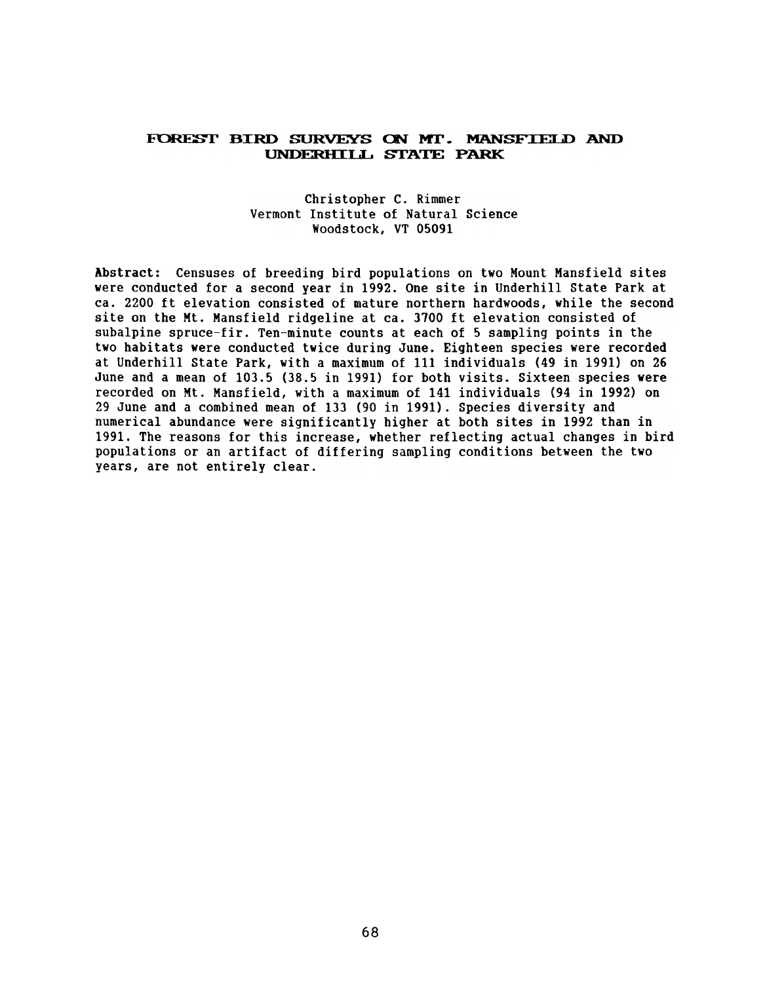## FOREST BIRD SURVEYS ON MT. MANSFIELD AND UNDERHILL STATE PARK

## Christopher C. Rimmer Vermont Institute of Natural Science Woodstock, VT 05091

Abstract: Censuses of breeding bird populations on two Mount Mansfield sites were conducted for a second year in 1992. One site in Underhill State Park at ca. 2200 ft elevation consisted of mature northern hardwoods, while the second site on the Mt. Mansfield ridgeline at ca. 3700 ft elevation consisted of subalpine spruce-fir. Ten-minute counts at each of 5 sampling points in the two habitats were conducted twice during June. Eighteen species were recorded at Underhill State Park, with a maximum of 111 individuals (49 in 1991) on 26 June and a mean of 103.5 (38.5 in 1991) for both visits. Sixteen species were recorded on Mt. Mansfield, with a maximum of 141 individuals (94 in 1992) on 29 June and a combined mean of 133 (90 in 1991). Species diversity and numerical abundance were significantly higher at both sites in 1992 than in 1991. The reasons for this increase, whether reflecting actual changes in bird populations or an artifact of differing sampling conditions between the two years, are not entirely clear.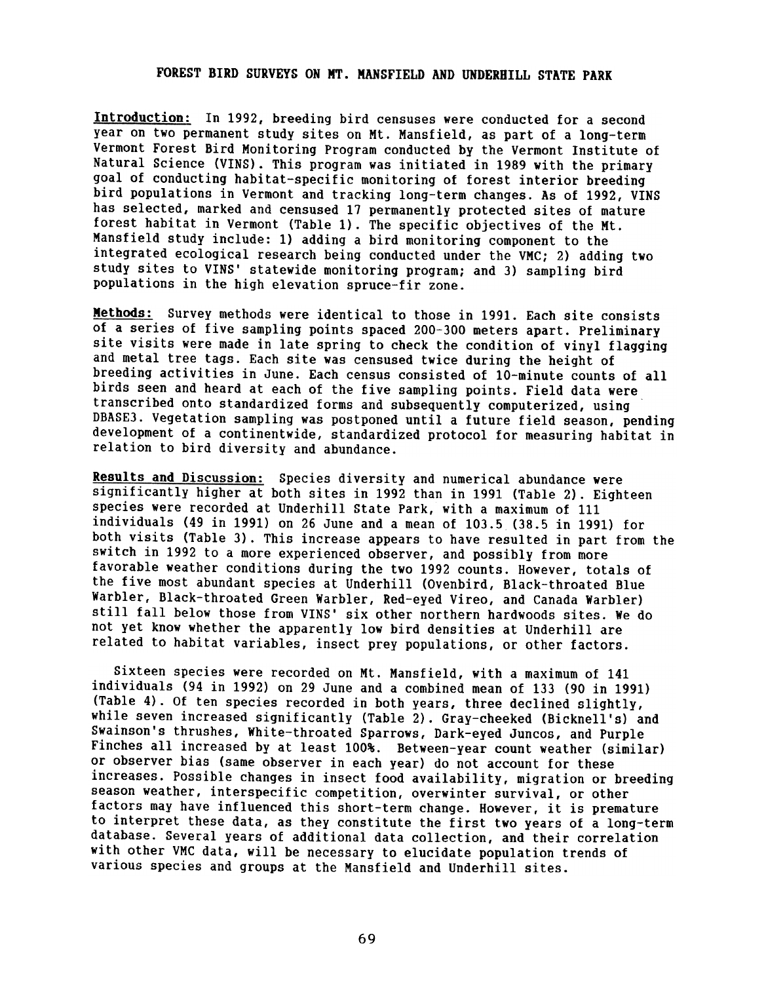## FOREST BIRD SURVEYS ON MT. MANSFIELD AND UNDERHILL STATE PARK

Introduction: In 1992, breeding bird censuses were conducted for a second year on two permanent study sites on Mt. Mansfield, as part of a long-term Vermont Forest Bird Monitoring Program conducted by the Vermont Institute of Natural Science (VINS). This program was initiated in 1989 with the primary goal of conducting habitat-specific monitoring of forest interior breeding bird populations in Vermont and tracking long-term changes. As of 1992, VINS has selected, marked and censused 17 permanently protected sites of mature forest habitat in Vermont (Table 1). The specific objectives of the Mt. Mansfield study include: 1) adding a bird monitoring component to the integrated ecological research being conducted under the VMC; 2) adding two study sites to VINS' statewide monitoring program; and 3) sampling bird populations in the high elevation spruce-fir zone.

Methods: Survey methods were identical to those in 1991. Each site consists of a series of five sampling points spaced 200-300 meters apart. Preliminary site visits were made in late spring to check the condition of vinyl flagging and metal tree tags. Each site was censused twice during the height of breeding activities in June. Each census consisted of 10-minute counts of all birds seen and heard at each of the five sampling points. Field data were transcribed onto standardized forms and subsequently computerized, using DBASE3. Vegetation sampling was postponed until a future field season, pending development of a continentwide, standardized protocol for measuring habitat in relation to bird diversity and abundance.

Results and Discussion: Species diversity and numerical abundance were significantly higher at both sites in 1992 than in 1991 (Table 2). Eighteen species were recorded at Underhill State Park, with a maximum of 111 individuals (49 in 1991) on 26 June and a mean of 103.5 (38.5 in 1991) for both visits (Table 3). This increase appears to have resulted in part from the switch in 1992 to a more experienced observer, and possibly from more favorable weather conditions during the two 1992 counts. However, totals of the five most abundant species at Underhill (Ovenbird, Black-throated Blue Warbler, Black-throated Green Warbler, Red-eyed Vireo, and Canada Warbler) still fall below those from VINS' six other northern hardwoods sites. We do not yet know whether the apparently low bird densities at Underhill are related to habitat variables, insect prey populations, or other factors.

Sixteen species were recorded on Mt. Mansfield, with a maximum of 141 individuals (94 in 1992) on 29 June and a combined mean of 133 (90 in 1991) (Table 4). Of ten species recorded in both years, three declined slightly, while seven increased significantly (Table 2). Gray-cheeked (Bicknell's) and Swainson's thrushes, White-throated Sparrows, Dark-eyed Juncos, and Purple Finches all increased by at least 100%. Between-year count weather (similar) or observer bias (same observer in each year) do not account for these increases. Possible changes in insect food availability, migration or breeding season weather, interspecific competition, overwinter survival, or other factors may have influenced this short-term change. However, it is premature to interpret these data, as they constitute the first two years of a long-term database. Several years of additional data collection, and their correlation with other VMC data, will be necessary to elucidate population trends of various species and groups at the Mansfield and Underhill sites.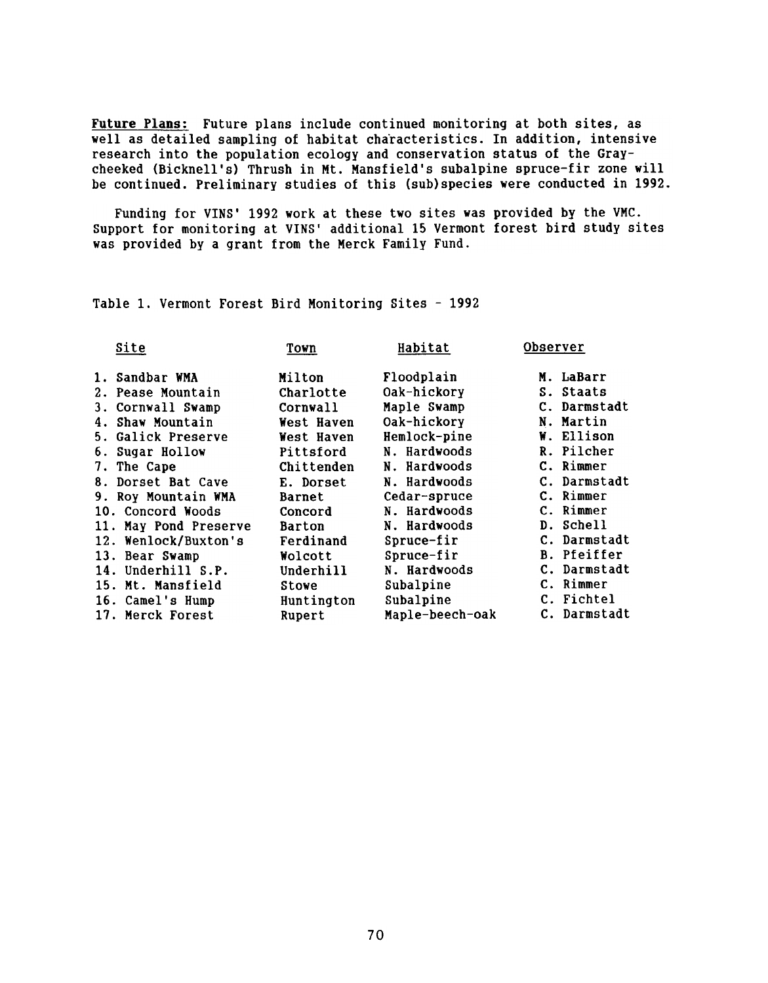Future Plans: Future plans include continued monitoring at both sites, as well as detailed sampling of habitat characteristics. In addition, intensive research into the population ecology and conservation status of the Graycheeked (Bicknell's) Thrush in Mt. Mansfield's subalpine spruce-fir zone will be continued. Preliminary studies of this (sub)species were conducted in 1992.

Funding for VINS' 1992 work at these two sites was provided by the VMC. Support for monitoring at VINS' additional 15 Vermont forest bird study sites was provided by a grant from the Merck Family Fund.

Table 1. Vermont Forest Bird Monitoring Sites -1992

| Town          | Habitat         | <b>Observer</b>    |
|---------------|-----------------|--------------------|
| Milton        | Floodplain      | M. LaBarr          |
| Charlotte     | Oak-hickory     | S. Staats          |
| Cornwall      | Maple Swamp     | C. Darmstadt       |
| West Haven    | Oak-hickory     | N. Martin          |
| West Haven    | Hemlock-pine    | W. Ellison         |
| Pittsford     | N. Hardwoods    | R. Pilcher         |
| Chittenden    | N. Hardwoods    | C. Rimmer          |
| E. Dorset     | N. Hardwoods    | C. Darmstadt       |
| Barnet        | Cedar-spruce    | C. Rimmer          |
| Concord       | N. Hardwoods    | C. Rimmer          |
| <b>Barton</b> | N. Hardwoods    | D. Schell          |
| Ferdinand     | Spruce-fir      | C. Darmstadt       |
| Wolcott       | Spruce-fir      | <b>B.</b> Pfeiffer |
| Underhill     | N. Hardwoods    | C. Darmstadt       |
| Stowe         | Subalpine       | C. Rimmer          |
| Huntington    | Subalpine       | C. Fichtel         |
| Rupert        | Maple-beech-oak | C. Darmstadt       |
|               |                 |                    |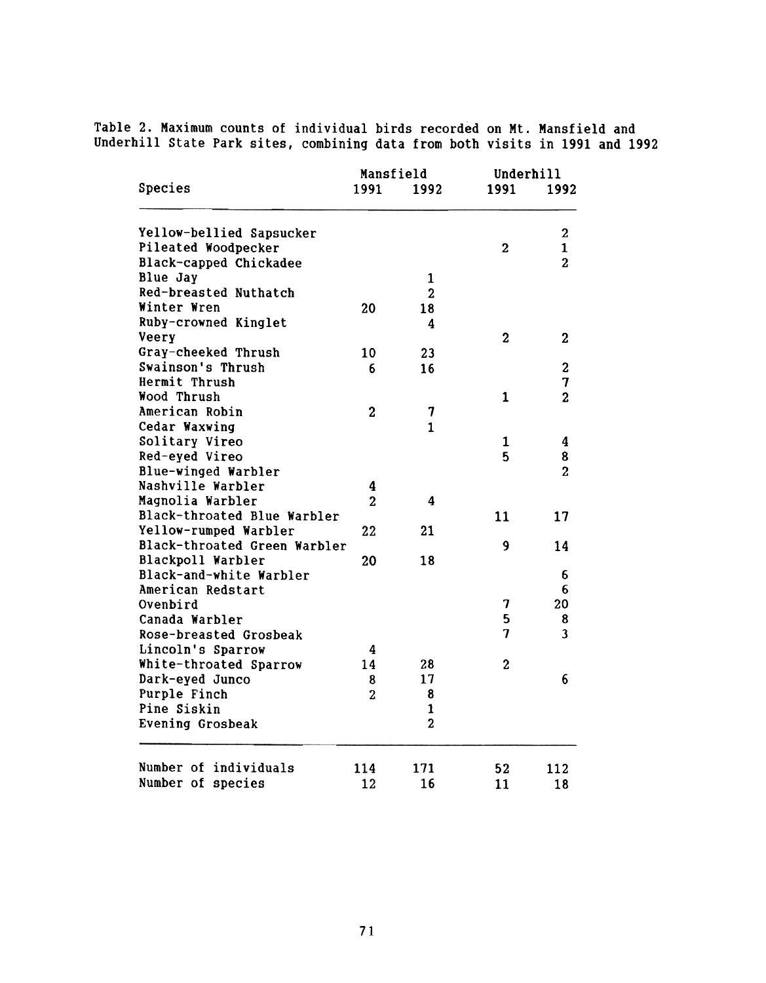Table 2. Maximum counts of individual birds recorded on Mt. Mansfield and Underhill State Park sites, combining data from both visits in 1991 and 1992

| Species                      |                | Mansfield      |                | Underhill               |  |
|------------------------------|----------------|----------------|----------------|-------------------------|--|
|                              | 1991           | 1992           | 1991           | 1992                    |  |
| Yellow-bellied Sapsucker     |                |                |                | $\overline{2}$          |  |
| Pileated Woodpecker          |                |                | $\overline{2}$ | $\mathbf{1}$            |  |
| Black-capped Chickadee       |                |                |                | $\overline{2}$          |  |
| Blue Jay                     |                | $\mathbf{1}$   |                |                         |  |
| Red-breasted Nuthatch        |                | $\overline{2}$ |                |                         |  |
| Winter Wren                  | 20             | 18             |                |                         |  |
| Ruby-crowned Kinglet         |                | 4              |                |                         |  |
| Veery                        |                |                | $\mathbf{2}$   | 2                       |  |
| Gray-cheeked Thrush          | 10             | 23             |                |                         |  |
| Swainson's Thrush            | 6              | 16             |                | $\mathbf 3$             |  |
| Hermit Thrush                |                |                |                | 7                       |  |
| Wood Thrush                  |                |                | 1              | $\overline{2}$          |  |
| American Robin               | $\overline{2}$ | 7              |                |                         |  |
| Cedar Waxwing                |                | $\mathbf{1}$   |                |                         |  |
| Solitary Vireo               |                |                | 1              | 4                       |  |
| Red-eyed Vireo               |                |                | 5              | 8                       |  |
| Blue-winged Warbler          |                |                |                | $\overline{c}$          |  |
| Nashville Warbler            | 4              |                |                |                         |  |
| Magnolia Warbler             | $\overline{2}$ | 4              |                |                         |  |
| Black-throated Blue Warbler  |                |                | 11             | 17                      |  |
| Yellow-rumped Warbler        | 22             | 21             |                |                         |  |
| Black-throated Green Warbler |                |                | 9              | 14                      |  |
| Blackpoll Warbler            | 20             | 18             |                |                         |  |
| Black-and-white Warbler      |                |                |                | 6                       |  |
| American Redstart            |                |                |                | 6                       |  |
| Ovenbird                     |                |                | 7              | 20                      |  |
| Canada Warbler               |                |                | 5              | 8                       |  |
|                              |                |                | 7              | $\overline{\mathbf{3}}$ |  |
| Rose-breasted Grosbeak       |                |                |                |                         |  |
| Lincoln's Sparrow            | 4              |                |                |                         |  |
| White-throated Sparrow       | 14             | 28             | $\mathbf{2}$   |                         |  |
| Dark-eyed Junco              | 8              | 17             |                | 6                       |  |
| Purple Finch                 | $\overline{2}$ | 8              |                |                         |  |
| Pine Siskin                  |                | $\mathbf{1}$   |                |                         |  |
| <b>Evening Grosbeak</b>      |                | $\overline{2}$ |                |                         |  |
| Number of individuals        | 114            | 171            | 52             | 112                     |  |
| Number of species            | 12             | 16             | 11             | 18                      |  |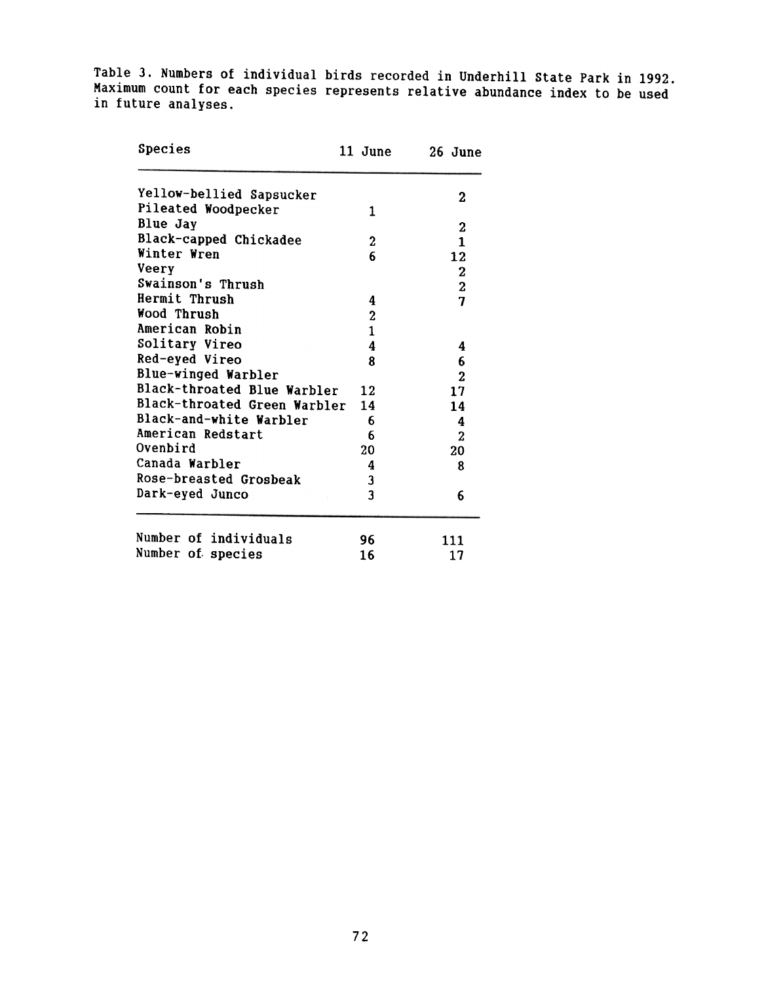Table 3. Numbers of individual birds recorded in Underhill State Park in 1992. Maximum count for each species represents relative abundance index to be used in future analyses.

| Species                      | 11 June          | 26 June        |
|------------------------------|------------------|----------------|
| Yellow-bellied Sapsucker     |                  | $\bf{2}$       |
| Pileated Woodpecker          | 1                |                |
| Blue Jay                     |                  | $\mathbf{2}$   |
| Black-capped Chickadee       | $\boldsymbol{2}$ | $\mathbf{1}$   |
| Winter Wren                  | 6                | 12             |
| Veery                        |                  |                |
| Swainson's Thrush            |                  | $\frac{2}{2}$  |
| Hermit Thrush                | 4                | $\overline{7}$ |
| Wood Thrush                  | $\boldsymbol{2}$ |                |
| American Robin               | $\mathbf{1}$     |                |
| Solitary Vireo               | 4                | 4              |
| Red-eyed Vireo               | 8                | 6              |
| Blue-winged Warbler          |                  | $\overline{2}$ |
| Black-throated Blue Warbler  | 12               | 17             |
| Black-throated Green Warbler | 14               | 14             |
| Black-and-white Warbler      | - 6              | 4              |
| American Redstart            | 6                | $\mathbf{z}$   |
| Ovenbird                     | 20               | 20             |
| Canada Warbler               | 4                | 8              |
| Rose-breasted Grosbeak       | 3                |                |
| Dark-eyed Junco              | 3                | 6              |
| Number of individuals        | 96               | 111            |
| Number of species            | 16               | 17             |